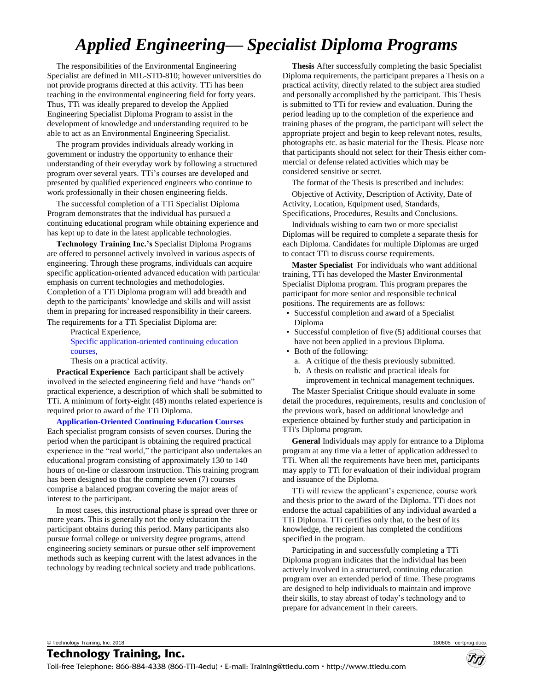# *Applied Engineering— Specialist Diploma Programs*

The responsibilities of the Environmental Engineering Specialist are defined in MIL-STD-810; however universities do not provide programs directed at this activity. TTi has been teaching in the environmental engineering field for forty years. Thus, TTi was ideally prepared to develop the Applied Engineering Specialist Diploma Program to assist in the development of knowledge and understanding required to be able to act as an Environmental Engineering Specialist.

The program provides individuals already working in government or industry the opportunity to enhance their understanding of their everyday work by following a structured program over several years. TTi's courses are developed and presented by qualified experienced engineers who continue to work professionally in their chosen engineering fields.

The successful completion of a TTi Specialist Diploma Program demonstrates that the individual has pursued a continuing educational program while obtaining experience and has kept up to date in the latest applicable technologies.

**Technology Training Inc.'s** Specialist Diploma Programs are offered to personnel actively involved in various aspects of engineering. Through these programs, individuals can acquire specific application-oriented advanced education with particular emphasis on current technologies and methodologies. Completion of a TTi Diploma program will add breadth and depth to the participants' knowledge and skills and will assist them in preparing for increased responsibility in their careers.

The requirements for a TTi Specialist Diploma are: Practical Experience, [Specific application-oriented continuing education](#page-1-0)  [courses,](#page-1-0) 

Thesis on a practical activity.

**Practical Experience** Each participant shall be actively involved in the selected engineering field and have "hands on" practical experience, a description of which shall be submitted to TTi. A minimum of forty-eight (48) months related experience is required prior to award of the TTi Diploma.

**[Application-Oriented Continuing Education Courses](#page-1-0)** 

Each specialist program consists of seven courses. During the period when the participant is obtaining the required practical experience in the "real world," the participant also undertakes an educational program consisting of approximately 130 to 140 hours of on-line or classroom instruction. This training program has been designed so that the complete seven (7) courses comprise a balanced program covering the major areas of interest to the participant.

In most cases, this instructional phase is spread over three or more years. This is generally not the only education the participant obtains during this period. Many participants also pursue formal college or university degree programs, attend engineering society seminars or pursue other self improvement methods such as keeping current with the latest advances in the technology by reading technical society and trade publications.

**Thesis** After successfully completing the basic Specialist Diploma requirements, the participant prepares a Thesis on a practical activity, directly related to the subject area studied and personally accomplished by the participant. This Thesis is submitted to TTi for review and evaluation. During the period leading up to the completion of the experience and training phases of the program, the participant will select the appropriate project and begin to keep relevant notes, results, photographs etc. as basic material for the Thesis. Please note that participants should not select for their Thesis either commercial or defense related activities which may be considered sensitive or secret.

The format of the Thesis is prescribed and includes: Objective of Activity, Description of Activity, Date of Activity, Location, Equipment used, Standards, Specifications, Procedures, Results and Conclusions.

Individuals wishing to earn two or more specialist Diplomas will be required to complete a separate thesis for each Diploma. Candidates for multiple Diplomas are urged to contact TTi to discuss course requirements.

**Master Specialist** For individuals who want additional training, TTi has developed the Master Environmental Specialist Diploma program. This program prepares the participant for more senior and responsible technical positions. The requirements are as follows:

- Successful completion and award of a Specialist Diploma
- Successful completion of five (5) additional courses that have not been applied in a previous Diploma.
- Both of the following:
	- a. A critique of the thesis previously submitted.
	- b. A thesis on realistic and practical ideals for improvement in technical management techniques.

The Master Specialist Critique should evaluate in some detail the procedures, requirements, results and conclusion of the previous work, based on additional knowledge and experience obtained by further study and participation in TTi's Diploma program.

**General** Individuals may apply for entrance to a Diploma program at any time via a letter of application addressed to TTi. When all the requirements have been met, participants may apply to TTi for evaluation of their individual program and issuance of the Diploma.

TTi will review the applicant's experience, course work and thesis prior to the award of the Diploma. TTi does not endorse the actual capabilities of any individual awarded a TTi Diploma. TTi certifies only that, to the best of its knowledge, the recipient has completed the conditions specified in the program.

Participating in and successfully completing a TTi Diploma program indicates that the individual has been actively involved in a structured, continuing education program over an extended period of time. These programs are designed to help individuals to maintain and improve their skills, to stay abreast of today's technology and to prepare for advancement in their careers.

© Technology Training, Inc. 2018 180605 certprog.docx

**Technology Training, Inc.**

Toll-free Telephone: 866-884-4338 (866-TTi-4edu) • E-mail: Training@ttiedu.com • http://www.ttiedu.com